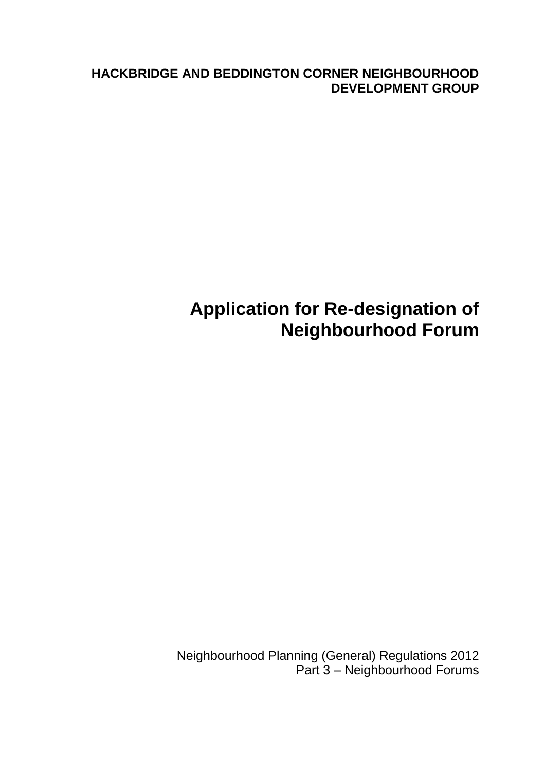**HACKBRIDGE AND BEDDINGTON CORNER NEIGHBOURHOOD DEVELOPMENT GROUP**

# **Application for Re-designation of Neighbourhood Forum**

Neighbourhood Planning (General) Regulations 2012 Part 3 – Neighbourhood Forums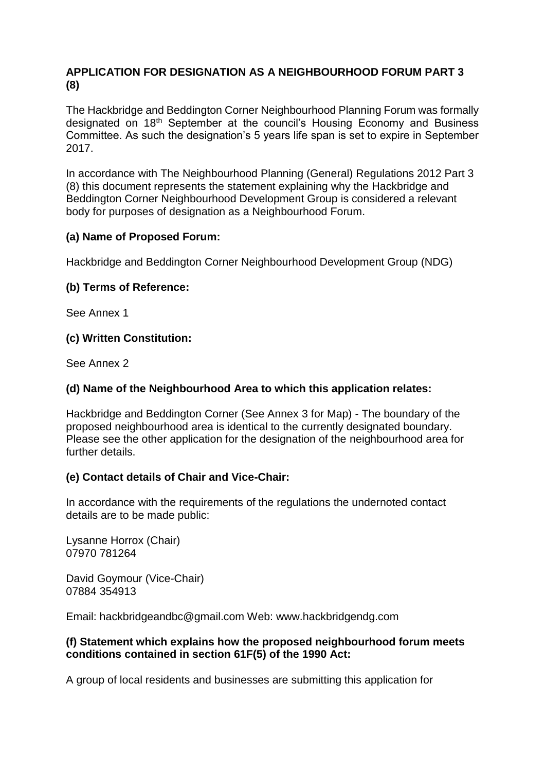#### **APPLICATION FOR DESIGNATION AS A NEIGHBOURHOOD FORUM PART 3 (8)**

The Hackbridge and Beddington Corner Neighbourhood Planning Forum was formally designated on 18<sup>th</sup> September at the council's Housing Economy and Business Committee. As such the designation's 5 years life span is set to expire in September 2017.

In accordance with The Neighbourhood Planning (General) Regulations 2012 Part 3 (8) this document represents the statement explaining why the Hackbridge and Beddington Corner Neighbourhood Development Group is considered a relevant body for purposes of designation as a Neighbourhood Forum.

#### **(a) Name of Proposed Forum:**

Hackbridge and Beddington Corner Neighbourhood Development Group (NDG)

#### **(b) Terms of Reference:**

See Annex 1

#### **(c) Written Constitution:**

See Annex 2

#### **(d) Name of the Neighbourhood Area to which this application relates:**

Hackbridge and Beddington Corner (See Annex 3 for Map) - The boundary of the proposed neighbourhood area is identical to the currently designated boundary. Please see the other application for the designation of the neighbourhood area for further details.

#### **(e) Contact details of Chair and Vice-Chair:**

In accordance with the requirements of the regulations the undernoted contact details are to be made public:

Lysanne Horrox (Chair) 07970 781264

David Goymour (Vice-Chair) 07884 354913

Email: hackbridgeandbc@gmail.com Web: www.hackbridgendg.com

#### **(f) Statement which explains how the proposed neighbourhood forum meets conditions contained in section 61F(5) of the 1990 Act:**

A group of local residents and businesses are submitting this application for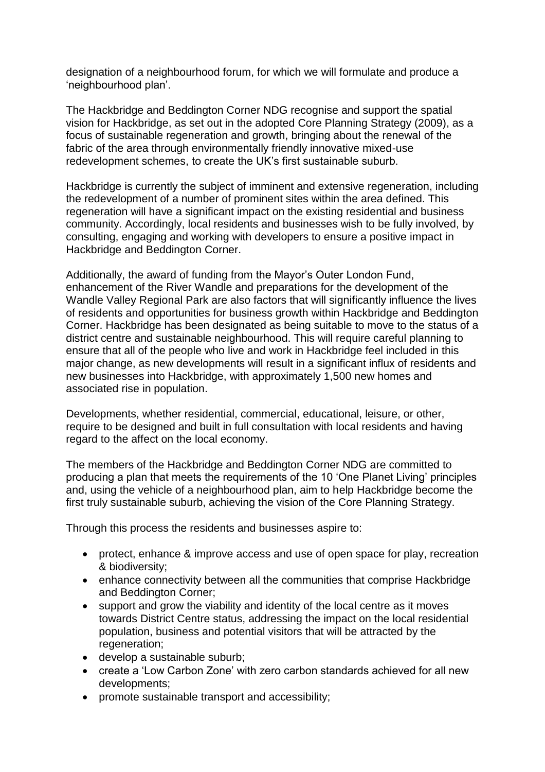designation of a neighbourhood forum, for which we will formulate and produce a 'neighbourhood plan'.

The Hackbridge and Beddington Corner NDG recognise and support the spatial vision for Hackbridge, as set out in the adopted Core Planning Strategy (2009), as a focus of sustainable regeneration and growth, bringing about the renewal of the fabric of the area through environmentally friendly innovative mixed-use redevelopment schemes, to create the UK's first sustainable suburb.

Hackbridge is currently the subject of imminent and extensive regeneration, including the redevelopment of a number of prominent sites within the area defined. This regeneration will have a significant impact on the existing residential and business community. Accordingly, local residents and businesses wish to be fully involved, by consulting, engaging and working with developers to ensure a positive impact in Hackbridge and Beddington Corner.

Additionally, the award of funding from the Mayor's Outer London Fund, enhancement of the River Wandle and preparations for the development of the Wandle Valley Regional Park are also factors that will significantly influence the lives of residents and opportunities for business growth within Hackbridge and Beddington Corner. Hackbridge has been designated as being suitable to move to the status of a district centre and sustainable neighbourhood. This will require careful planning to ensure that all of the people who live and work in Hackbridge feel included in this major change, as new developments will result in a significant influx of residents and new businesses into Hackbridge, with approximately 1,500 new homes and associated rise in population.

Developments, whether residential, commercial, educational, leisure, or other, require to be designed and built in full consultation with local residents and having regard to the affect on the local economy.

The members of the Hackbridge and Beddington Corner NDG are committed to producing a plan that meets the requirements of the 10 'One Planet Living' principles and, using the vehicle of a neighbourhood plan, aim to help Hackbridge become the first truly sustainable suburb, achieving the vision of the Core Planning Strategy.

Through this process the residents and businesses aspire to:

- protect, enhance & improve access and use of open space for play, recreation & biodiversity;
- enhance connectivity between all the communities that comprise Hackbridge and Beddington Corner;
- support and grow the viability and identity of the local centre as it moves towards District Centre status, addressing the impact on the local residential population, business and potential visitors that will be attracted by the regeneration;
- develop a sustainable suburb;
- create a 'Low Carbon Zone' with zero carbon standards achieved for all new developments;
- promote sustainable transport and accessibility;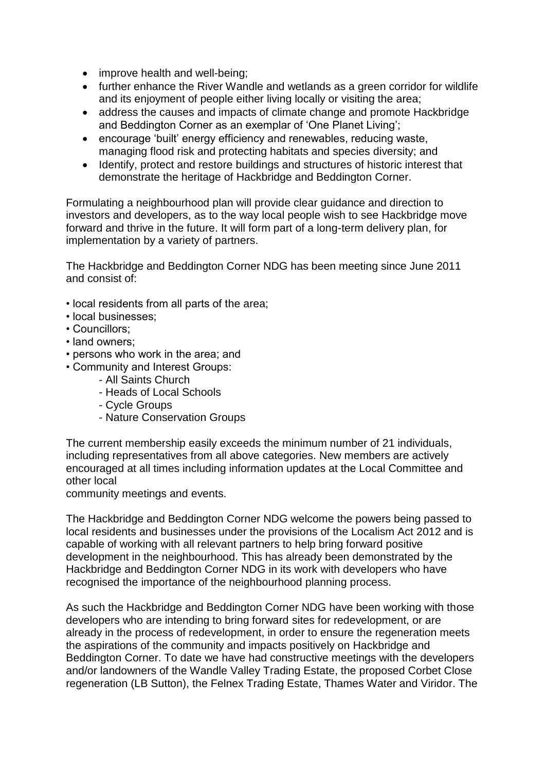- improve health and well-being;
- further enhance the River Wandle and wetlands as a green corridor for wildlife and its enjoyment of people either living locally or visiting the area;
- address the causes and impacts of climate change and promote Hackbridge and Beddington Corner as an exemplar of 'One Planet Living';
- encourage 'built' energy efficiency and renewables, reducing waste, managing flood risk and protecting habitats and species diversity; and
- Identify, protect and restore buildings and structures of historic interest that demonstrate the heritage of Hackbridge and Beddington Corner.

Formulating a neighbourhood plan will provide clear guidance and direction to investors and developers, as to the way local people wish to see Hackbridge move forward and thrive in the future. It will form part of a long-term delivery plan, for implementation by a variety of partners.

The Hackbridge and Beddington Corner NDG has been meeting since June 2011 and consist of:

- local residents from all parts of the area;
- local businesses;
- Councillors;
- land owners;
- persons who work in the area; and
- Community and Interest Groups:
	- All Saints Church
	- Heads of Local Schools
	- Cycle Groups
	- Nature Conservation Groups

The current membership easily exceeds the minimum number of 21 individuals, including representatives from all above categories. New members are actively encouraged at all times including information updates at the Local Committee and other local

community meetings and events.

The Hackbridge and Beddington Corner NDG welcome the powers being passed to local residents and businesses under the provisions of the Localism Act 2012 and is capable of working with all relevant partners to help bring forward positive development in the neighbourhood. This has already been demonstrated by the Hackbridge and Beddington Corner NDG in its work with developers who have recognised the importance of the neighbourhood planning process.

As such the Hackbridge and Beddington Corner NDG have been working with those developers who are intending to bring forward sites for redevelopment, or are already in the process of redevelopment, in order to ensure the regeneration meets the aspirations of the community and impacts positively on Hackbridge and Beddington Corner. To date we have had constructive meetings with the developers and/or landowners of the Wandle Valley Trading Estate, the proposed Corbet Close regeneration (LB Sutton), the Felnex Trading Estate, Thames Water and Viridor. The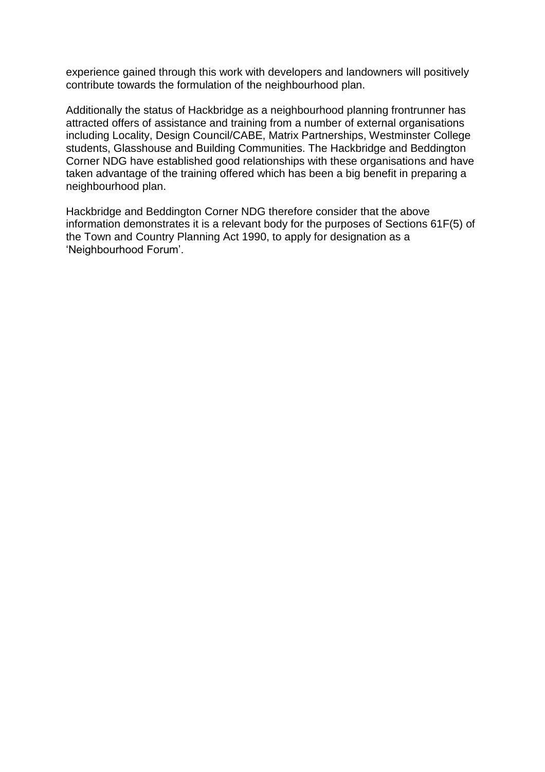experience gained through this work with developers and landowners will positively contribute towards the formulation of the neighbourhood plan.

Additionally the status of Hackbridge as a neighbourhood planning frontrunner has attracted offers of assistance and training from a number of external organisations including Locality, Design Council/CABE, Matrix Partnerships, Westminster College students, Glasshouse and Building Communities. The Hackbridge and Beddington Corner NDG have established good relationships with these organisations and have taken advantage of the training offered which has been a big benefit in preparing a neighbourhood plan.

Hackbridge and Beddington Corner NDG therefore consider that the above information demonstrates it is a relevant body for the purposes of Sections 61F(5) of the Town and Country Planning Act 1990, to apply for designation as a 'Neighbourhood Forum'.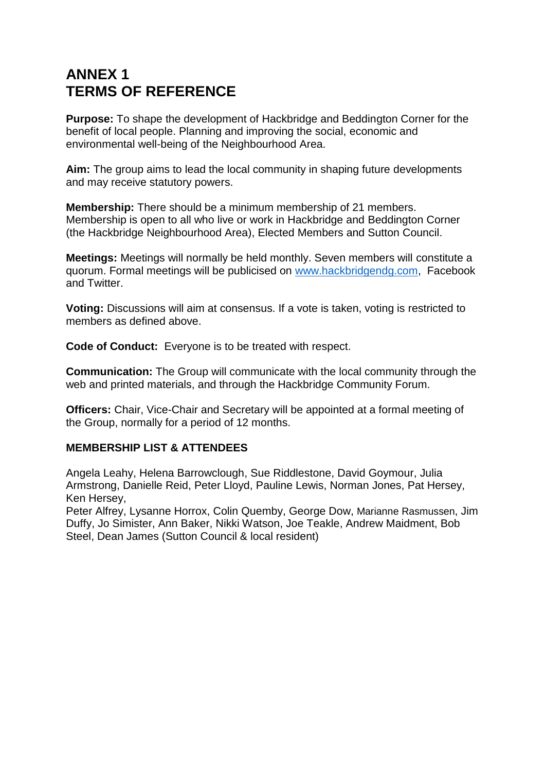## **ANNEX 1 TERMS OF REFERENCE**

**Purpose:** To shape the development of Hackbridge and Beddington Corner for the benefit of local people. Planning and improving the social, economic and environmental well-being of the Neighbourhood Area.

**Aim:** The group aims to lead the local community in shaping future developments and may receive statutory powers.

**Membership:** There should be a minimum membership of 21 members. Membership is open to all who live or work in Hackbridge and Beddington Corner (the Hackbridge Neighbourhood Area), Elected Members and Sutton Council.

**Meetings:** Meetings will normally be held monthly. Seven members will constitute a quorum. Formal meetings will be publicised on [www.hackbridgendg.com,](http://www.hackbridgendg.com/) Facebook and Twitter.

**Voting:** Discussions will aim at consensus. If a vote is taken, voting is restricted to members as defined above.

**Code of Conduct:** Everyone is to be treated with respect.

**Communication:** The Group will communicate with the local community through the web and printed materials, and through the Hackbridge Community Forum.

**Officers:** Chair, Vice-Chair and Secretary will be appointed at a formal meeting of the Group, normally for a period of 12 months.

#### **MEMBERSHIP LIST & ATTENDEES**

Angela Leahy, Helena Barrowclough, Sue Riddlestone, David Goymour, Julia Armstrong, Danielle Reid, Peter Lloyd, Pauline Lewis, Norman Jones, Pat Hersey, Ken Hersey,

Peter Alfrey, Lysanne Horrox, Colin Quemby, George Dow, Marianne Rasmussen, Jim Duffy, Jo Simister, Ann Baker, Nikki Watson, Joe Teakle, Andrew Maidment, Bob Steel, Dean James (Sutton Council & local resident)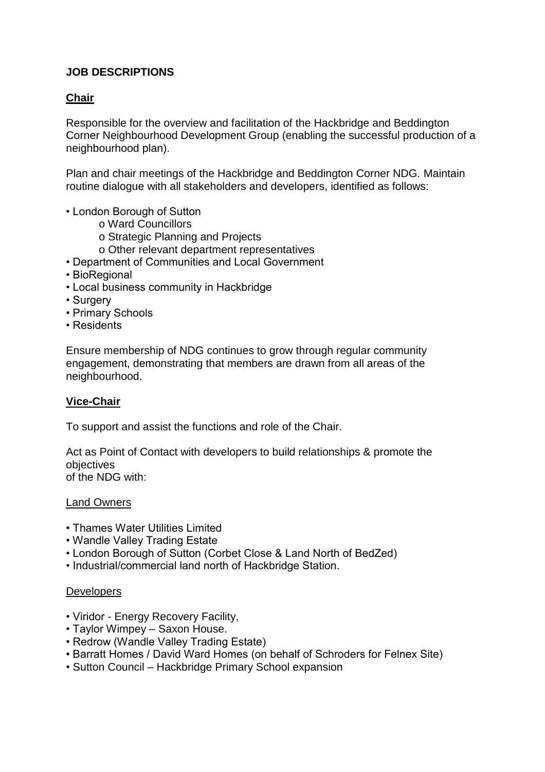#### **JOB DESCRIPTIONS**

#### **Chair**

Responsible for the overview and facilitation of the Hackbridge and Beddington Corner Neighbourhood Development Group (enabling the successful production of a neighbourhood plan).

Plan and chair meetings of the Hackbridge and Beddington Corner NDG. Maintain routine dialogue with all stakeholders and developers, identified as follows:

- London Borough of Sutton
	- o Ward Councillors
	- o Strategic Planning and Projects
	- o Other relevant department representatives
- Department of Communities and Local Government
- BioRegional
- Local business community in Hackbridge
- Surgery
- Primary Schools
- Residents

Ensure membership of NDG continues to grow through regular community engagement, demonstrating that members are drawn from all areas of the neighbourhood.

#### **Vice-Chair**

To support and assist the functions and role of the Chair.

Act as Point of Contact with developers to build relationships & promote the objectives of the NDG with:

Land Owners

- Thames Water Utilities Limited
- Wandle Valley Trading Estate
- London Borough of Sutton (Corbet Close & Land North of BedZed)
- Industrial/commercial land north of Hackbridge Station.

#### **Developers**

- Viridor Energy Recovery Facility,
- Taylor Wimpey Saxon House.
- Redrow (Wandle Valley Trading Estate)
- Barratt Homes / David Ward Homes (on behalf of Schroders for Felnex Site)
- Sutton Council Hackbridge Primary School expansion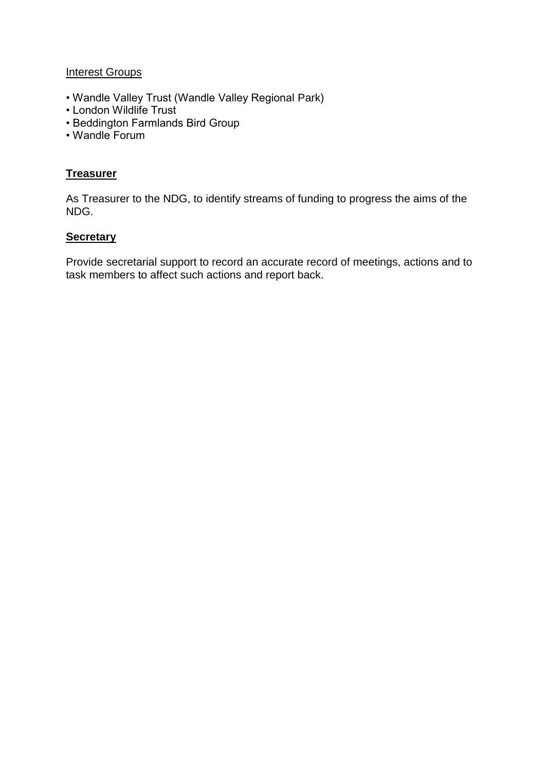#### **Interest Groups**

- Wandle Valley Trust (Wandle Valley Regional Park)
- London Wildlife Trust
- Beddington Farmlands Bird Group
- Wandle Forum

#### **Treasurer**

As Treasurer to the NDG, to identify streams of funding to progress the aims of the NDG.

#### **Secretary**

Provide secretarial support to record an accurate record of meetings, actions and to task members to affect such actions and report back.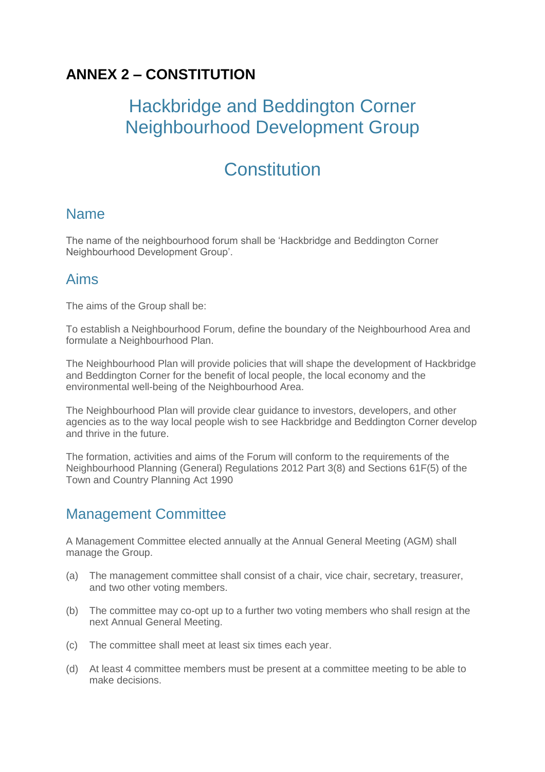## **ANNEX 2 – CONSTITUTION**

# Hackbridge and Beddington Corner Neighbourhood Development Group

# **Constitution**

### Name

The name of the neighbourhood forum shall be 'Hackbridge and Beddington Corner Neighbourhood Development Group'.

### Aims

The aims of the Group shall be:

To establish a Neighbourhood Forum, define the boundary of the Neighbourhood Area and formulate a Neighbourhood Plan.

The Neighbourhood Plan will provide policies that will shape the development of Hackbridge and Beddington Corner for the benefit of local people, the local economy and the environmental well-being of the Neighbourhood Area.

The Neighbourhood Plan will provide clear guidance to investors, developers, and other agencies as to the way local people wish to see Hackbridge and Beddington Corner develop and thrive in the future.

The formation, activities and aims of the Forum will conform to the requirements of the Neighbourhood Planning (General) Regulations 2012 Part 3(8) and Sections 61F(5) of the Town and Country Planning Act 1990

### Management Committee

A Management Committee elected annually at the Annual General Meeting (AGM) shall manage the Group.

- (a) The management committee shall consist of a chair, vice chair, secretary, treasurer, and two other voting members.
- (b) The committee may co-opt up to a further two voting members who shall resign at the next Annual General Meeting.
- (c) The committee shall meet at least six times each year.
- (d) At least 4 committee members must be present at a committee meeting to be able to make decisions.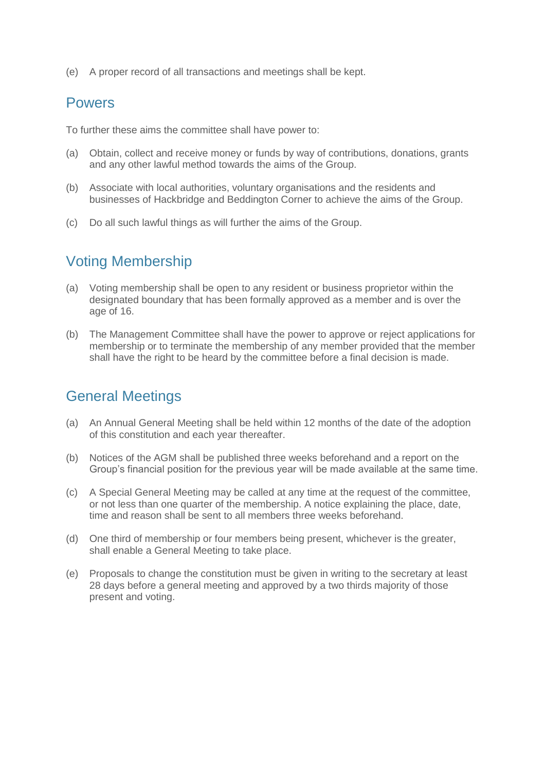(e) A proper record of all transactions and meetings shall be kept.

### Powers

To further these aims the committee shall have power to:

- (a) Obtain, collect and receive money or funds by way of contributions, donations, grants and any other lawful method towards the aims of the Group.
- (b) Associate with local authorities, voluntary organisations and the residents and businesses of Hackbridge and Beddington Corner to achieve the aims of the Group.
- (c) Do all such lawful things as will further the aims of the Group.

### Voting Membership

- (a) Voting membership shall be open to any resident or business proprietor within the designated boundary that has been formally approved as a member and is over the age of 16.
- (b) The Management Committee shall have the power to approve or reject applications for membership or to terminate the membership of any member provided that the member shall have the right to be heard by the committee before a final decision is made.

### General Meetings

- (a) An Annual General Meeting shall be held within 12 months of the date of the adoption of this constitution and each year thereafter.
- (b) Notices of the AGM shall be published three weeks beforehand and a report on the Group's financial position for the previous year will be made available at the same time.
- (c) A Special General Meeting may be called at any time at the request of the committee, or not less than one quarter of the membership. A notice explaining the place, date, time and reason shall be sent to all members three weeks beforehand.
- (d) One third of membership or four members being present, whichever is the greater, shall enable a General Meeting to take place.
- (e) Proposals to change the constitution must be given in writing to the secretary at least 28 days before a general meeting and approved by a two thirds majority of those present and voting.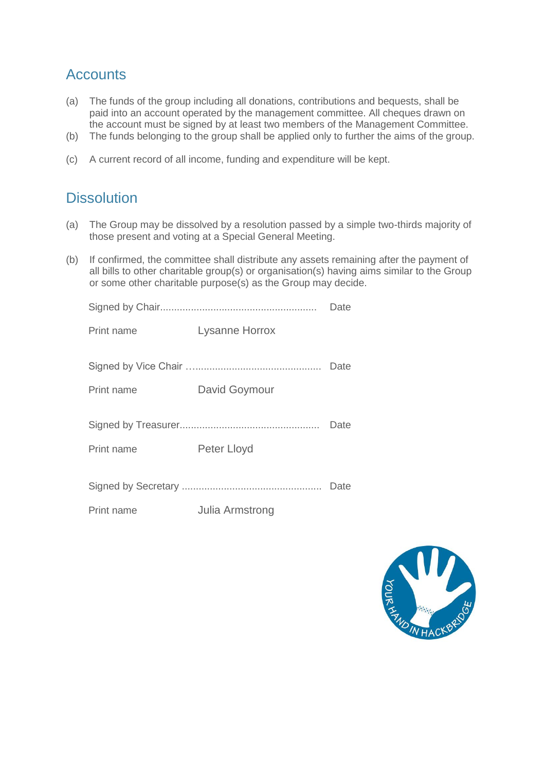### **Accounts**

- (a) The funds of the group including all donations, contributions and bequests, shall be paid into an account operated by the management committee. All cheques drawn on the account must be signed by at least two members of the Management Committee.
- (b) The funds belonging to the group shall be applied only to further the aims of the group.
- (c) A current record of all income, funding and expenditure will be kept.

### **Dissolution**

- (a) The Group may be dissolved by a resolution passed by a simple two-thirds majority of those present and voting at a Special General Meeting.
- (b) If confirmed, the committee shall distribute any assets remaining after the payment of all bills to other charitable group(s) or organisation(s) having aims similar to the Group or some other charitable purpose(s) as the Group may decide.

|            |                       | Date |
|------------|-----------------------|------|
| Print name | <b>Lysanne Horrox</b> |      |
|            |                       | Date |
| Print name | David Goymour         |      |
|            |                       | Date |
| Print name | Peter Lloyd           |      |
|            |                       | Date |

Print name Julia Armstrong